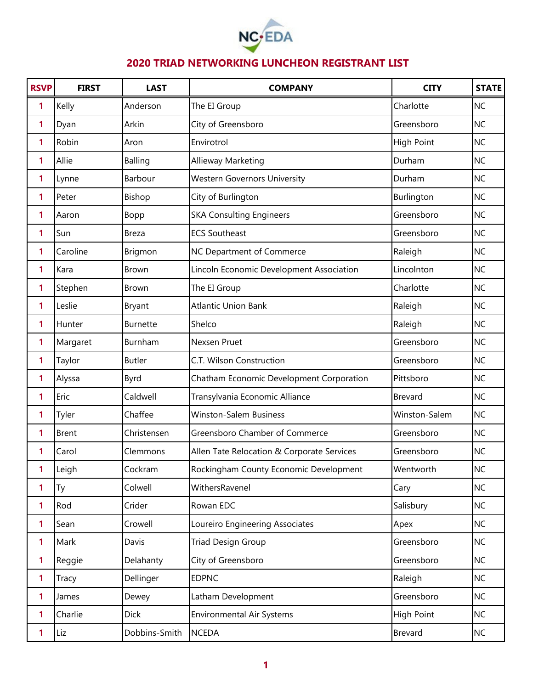

| <b>RSVP</b> | <b>FIRST</b> | <b>LAST</b>     | <b>COMPANY</b>                             | <b>CITY</b>       | <b>STATE</b> |
|-------------|--------------|-----------------|--------------------------------------------|-------------------|--------------|
| 1           | Kelly        | Anderson        | The EI Group                               | Charlotte         | <b>NC</b>    |
| 1           | Dyan         | Arkin           | City of Greensboro                         | Greensboro        | <b>NC</b>    |
| 1           | Robin        | Aron            | Envirotrol                                 | <b>High Point</b> | <b>NC</b>    |
| 1           | Allie        | Balling         | Allieway Marketing                         | Durham            | <b>NC</b>    |
| 1           | Lynne        | Barbour         | <b>Western Governors University</b>        | Durham            | <b>NC</b>    |
| 1           | Peter        | Bishop          | City of Burlington                         | Burlington        | <b>NC</b>    |
| 1           | Aaron        | Bopp            | <b>SKA Consulting Engineers</b>            | Greensboro        | <b>NC</b>    |
| 1           | Sun          | <b>Breza</b>    | <b>ECS Southeast</b>                       | Greensboro        | <b>NC</b>    |
| 1           | Caroline     | Brigmon         | NC Department of Commerce                  | Raleigh           | <b>NC</b>    |
| 1           | Kara         | <b>Brown</b>    | Lincoln Economic Development Association   | Lincolnton        | <b>NC</b>    |
| 1           | Stephen      | <b>Brown</b>    | The EI Group                               | Charlotte         | <b>NC</b>    |
| 1           | Leslie       | <b>Bryant</b>   | <b>Atlantic Union Bank</b>                 | Raleigh           | <b>NC</b>    |
| 1           | Hunter       | <b>Burnette</b> | Shelco                                     | Raleigh           | <b>NC</b>    |
| 1           | Margaret     | Burnham         | Nexsen Pruet                               | Greensboro        | <b>NC</b>    |
| 1           | Taylor       | <b>Butler</b>   | C.T. Wilson Construction                   | Greensboro        | <b>NC</b>    |
| 1           | Alyssa       | <b>Byrd</b>     | Chatham Economic Development Corporation   | Pittsboro         | <b>NC</b>    |
| 1           | Eric         | Caldwell        | Transylvania Economic Alliance             | Brevard           | <b>NC</b>    |
| 1           | Tyler        | Chaffee         | <b>Winston-Salem Business</b>              | Winston-Salem     | <b>NC</b>    |
| 1           | <b>Brent</b> | Christensen     | Greensboro Chamber of Commerce             | Greensboro        | <b>NC</b>    |
| 1           | Carol        | Clemmons        | Allen Tate Relocation & Corporate Services | Greensboro        | <b>NC</b>    |
|             | Leigh        | Cockram         | Rockingham County Economic Development     | Wentworth         | <b>NC</b>    |
| 1           | Ty           | Colwell         | WithersRavenel                             | Cary              | <b>NC</b>    |
| 1           | Rod          | Crider          | Rowan EDC                                  | Salisbury         | <b>NC</b>    |
| 1           | Sean         | Crowell         | Loureiro Engineering Associates            | Apex              | <b>NC</b>    |
| 1           | Mark         | Davis           | <b>Triad Design Group</b>                  | Greensboro        | <b>NC</b>    |
| 1           | Reggie       | Delahanty       | City of Greensboro                         | Greensboro        | <b>NC</b>    |
| 1           | Tracy        | Dellinger       | <b>EDPNC</b>                               | Raleigh           | <b>NC</b>    |
| 1           | James        | Dewey           | Latham Development                         | Greensboro        | <b>NC</b>    |
| 1           | Charlie      | <b>Dick</b>     | <b>Environmental Air Systems</b>           | <b>High Point</b> | <b>NC</b>    |
| 1           | Liz          | Dobbins-Smith   | <b>NCEDA</b>                               | Brevard           | <b>NC</b>    |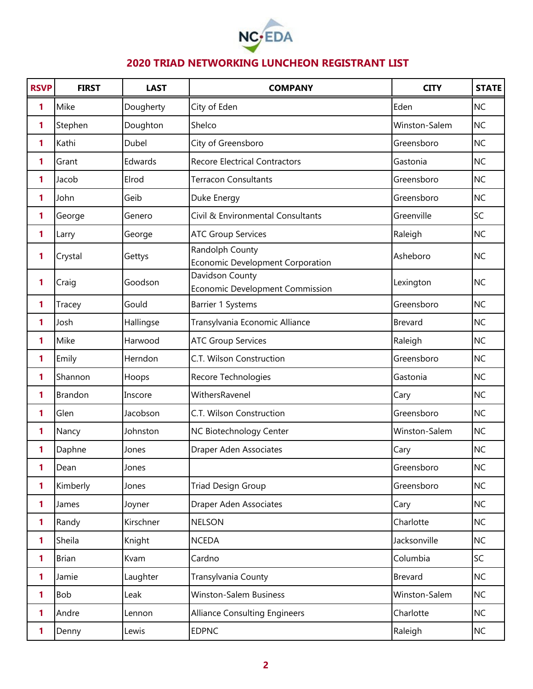

| <b>RSVP</b>  | <b>FIRST</b> | <b>LAST</b> | <b>COMPANY</b>                                            | <b>CITY</b>    | <b>STATE</b> |
|--------------|--------------|-------------|-----------------------------------------------------------|----------------|--------------|
| 1            | Mike         | Dougherty   | City of Eden                                              | Eden           | <b>NC</b>    |
| 1            | Stephen      | Doughton    | Shelco                                                    | Winston-Salem  | <b>NC</b>    |
| 1            | Kathi        | Dubel       | City of Greensboro                                        | Greensboro     | <b>NC</b>    |
| 1            | Grant        | Edwards     | <b>Recore Electrical Contractors</b>                      | Gastonia       | <b>NC</b>    |
| 1            | Jacob        | Elrod       | <b>Terracon Consultants</b>                               | Greensboro     | <b>NC</b>    |
| 1            | John         | Geib        | Duke Energy                                               | Greensboro     | <b>NC</b>    |
| 1            | George       | Genero      | Civil & Environmental Consultants                         | Greenville     | SC           |
| 1            | Larry        | George      | <b>ATC Group Services</b>                                 | Raleigh        | <b>NC</b>    |
| 1            | Crystal      | Gettys      | Randolph County<br>Economic Development Corporation       | Asheboro       | <b>NC</b>    |
| 1            | Craig        | Goodson     | Davidson County<br><b>Economic Development Commission</b> | Lexington      | <b>NC</b>    |
| 1            | Tracey       | Gould       | Barrier 1 Systems                                         | Greensboro     | <b>NC</b>    |
| 1            | Josh         | Hallingse   | Transylvania Economic Alliance                            | Brevard        | <b>NC</b>    |
| 1            | Mike         | Harwood     | <b>ATC Group Services</b>                                 | Raleigh        | <b>NC</b>    |
| 1            | Emily        | Herndon     | C.T. Wilson Construction                                  | Greensboro     | <b>NC</b>    |
| 1            | Shannon      | Hoops       | Recore Technologies                                       | Gastonia       | <b>NC</b>    |
| 1            | Brandon      | Inscore     | WithersRavenel                                            | Cary           | <b>NC</b>    |
| 1            | Glen         | Jacobson    | C.T. Wilson Construction                                  | Greensboro     | <b>NC</b>    |
| 1            | Nancy        | Johnston    | NC Biotechnology Center                                   | Winston-Salem  | <b>NC</b>    |
| 1            | Daphne       | Jones       | Draper Aden Associates                                    | Cary           | <b>NC</b>    |
| 1            | Dean         | Jones       |                                                           | Greensboro     | <b>NC</b>    |
| 1            | Kimberly     | Jones       | <b>Triad Design Group</b>                                 | Greensboro     | <b>NC</b>    |
| 1            | James        | Joyner      | Draper Aden Associates                                    | Cary           | <b>NC</b>    |
| $\mathbf{1}$ | Randy        | Kirschner   | <b>NELSON</b>                                             | Charlotte      | <b>NC</b>    |
| 1            | Sheila       | Knight      | <b>NCEDA</b>                                              | Jacksonville   | <b>NC</b>    |
| 1            | <b>Brian</b> | Kvam        | Cardno                                                    | Columbia       | SC           |
| 1            | Jamie        | Laughter    | Transylvania County                                       | <b>Brevard</b> | <b>NC</b>    |
| 1            | Bob          | Leak        | Winston-Salem Business                                    | Winston-Salem  | <b>NC</b>    |
| 1            | Andre        | Lennon      | <b>Alliance Consulting Engineers</b>                      | Charlotte      | <b>NC</b>    |
| 1            | Denny        | Lewis       | <b>EDPNC</b>                                              | Raleigh        | NC           |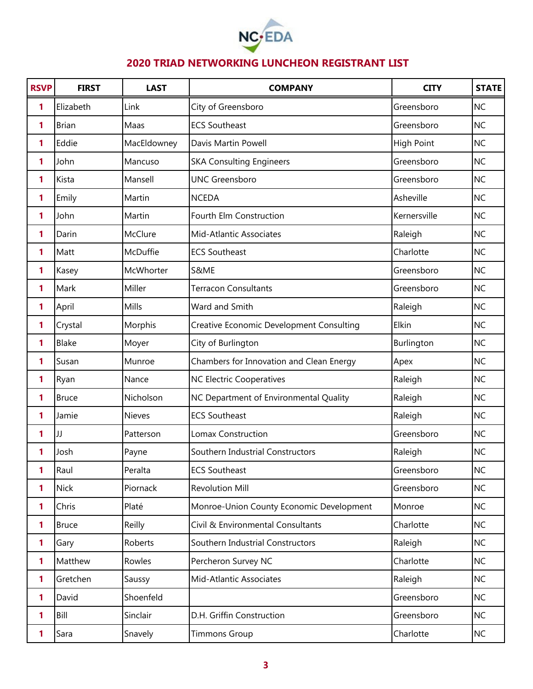

| <b>RSVP</b>  | <b>FIRST</b> | <b>LAST</b>   | <b>COMPANY</b>                           | <b>CITY</b>       | <b>STATE</b> |
|--------------|--------------|---------------|------------------------------------------|-------------------|--------------|
| 1            | Elizabeth    | Link          | City of Greensboro                       | Greensboro        | <b>NC</b>    |
| 1            | <b>Brian</b> | Maas          | <b>ECS Southeast</b>                     | Greensboro        | <b>NC</b>    |
| 1            | Eddie        | MacEldowney   | Davis Martin Powell                      | <b>High Point</b> | <b>NC</b>    |
| 1            | John         | Mancuso       | <b>SKA Consulting Engineers</b>          | Greensboro        | <b>NC</b>    |
| 1            | Kista        | Mansell       | <b>UNC Greensboro</b>                    | Greensboro        | <b>NC</b>    |
| 1            | Emily        | Martin        | <b>NCEDA</b>                             | Asheville         | <b>NC</b>    |
| 1            | John         | Martin        | Fourth Elm Construction                  | Kernersville      | <b>NC</b>    |
| 1            | Darin        | McClure       | Mid-Atlantic Associates                  | Raleigh           | <b>NC</b>    |
| 1            | Matt         | McDuffie      | <b>ECS Southeast</b>                     | Charlotte         | <b>NC</b>    |
| 1            | Kasey        | McWhorter     | S&ME                                     | Greensboro        | <b>NC</b>    |
| 1            | Mark         | Miller        | <b>Terracon Consultants</b>              | Greensboro        | <b>NC</b>    |
| 1            | April        | Mills         | Ward and Smith                           | Raleigh           | <b>NC</b>    |
| 1            | Crystal      | Morphis       | Creative Economic Development Consulting | Elkin             | <b>NC</b>    |
| 1            | Blake        | Moyer         | City of Burlington                       | Burlington        | <b>NC</b>    |
| 1            | Susan        | Munroe        | Chambers for Innovation and Clean Energy | Apex              | <b>NC</b>    |
| 1            | Ryan         | Nance         | <b>NC Electric Cooperatives</b>          | Raleigh           | <b>NC</b>    |
| 1            | <b>Bruce</b> | Nicholson     | NC Department of Environmental Quality   | Raleigh           | <b>NC</b>    |
| 1            | Jamie        | <b>Nieves</b> | <b>ECS Southeast</b>                     | Raleigh           | <b>NC</b>    |
| 1            | JJ           | Patterson     | Lomax Construction                       | Greensboro        | <b>NC</b>    |
| 1            | Josh         | Payne         | Southern Industrial Constructors         | Raleigh           | <b>NC</b>    |
| 1            | Raul         | Peralta       | <b>ECS Southeast</b>                     | Greensboro        | <b>NC</b>    |
| 1            | <b>Nick</b>  | Piornack      | <b>Revolution Mill</b>                   | Greensboro        | <b>NC</b>    |
| $\mathbf{1}$ | Chris        | Platé         | Monroe-Union County Economic Development | Monroe            | <b>NC</b>    |
| 1            | <b>Bruce</b> | Reilly        | Civil & Environmental Consultants        | Charlotte         | <b>NC</b>    |
| 1            | Gary         | Roberts       | Southern Industrial Constructors         | Raleigh           | <b>NC</b>    |
| 1            | Matthew      | Rowles        | Percheron Survey NC                      | Charlotte         | <b>NC</b>    |
| 1            | Gretchen     | Saussy        | Mid-Atlantic Associates                  | Raleigh           | <b>NC</b>    |
| 1            | David        | Shoenfeld     |                                          | Greensboro        | <b>NC</b>    |
| 1            | Bill         | Sinclair      | D.H. Griffin Construction                | Greensboro        | <b>NC</b>    |
| 1            | Sara         | Snavely       | <b>Timmons Group</b>                     | Charlotte         | <b>NC</b>    |